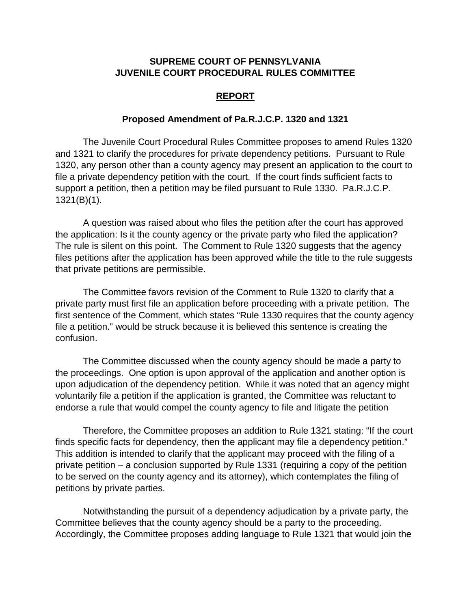## **SUPREME COURT OF PENNSYLVANIA JUVENILE COURT PROCEDURAL RULES COMMITTEE**

## **REPORT**

## **Proposed Amendment of Pa.R.J.C.P. 1320 and 1321**

The Juvenile Court Procedural Rules Committee proposes to amend Rules 1320 and 1321 to clarify the procedures for private dependency petitions. Pursuant to Rule 1320, any person other than a county agency may present an application to the court to file a private dependency petition with the court. If the court finds sufficient facts to support a petition, then a petition may be filed pursuant to Rule 1330. Pa.R.J.C.P. 1321(B)(1).

A question was raised about who files the petition after the court has approved the application: Is it the county agency or the private party who filed the application? The rule is silent on this point. The Comment to Rule 1320 suggests that the agency files petitions after the application has been approved while the title to the rule suggests that private petitions are permissible.

The Committee favors revision of the Comment to Rule 1320 to clarify that a private party must first file an application before proceeding with a private petition. The first sentence of the Comment, which states "Rule 1330 requires that the county agency file a petition." would be struck because it is believed this sentence is creating the confusion.

The Committee discussed when the county agency should be made a party to the proceedings. One option is upon approval of the application and another option is upon adjudication of the dependency petition. While it was noted that an agency might voluntarily file a petition if the application is granted, the Committee was reluctant to endorse a rule that would compel the county agency to file and litigate the petition

Therefore, the Committee proposes an addition to Rule 1321 stating: "If the court finds specific facts for dependency, then the applicant may file a dependency petition." This addition is intended to clarify that the applicant may proceed with the filing of a private petition – a conclusion supported by Rule 1331 (requiring a copy of the petition to be served on the county agency and its attorney), which contemplates the filing of petitions by private parties.

Notwithstanding the pursuit of a dependency adjudication by a private party, the Committee believes that the county agency should be a party to the proceeding. Accordingly, the Committee proposes adding language to Rule 1321 that would join the